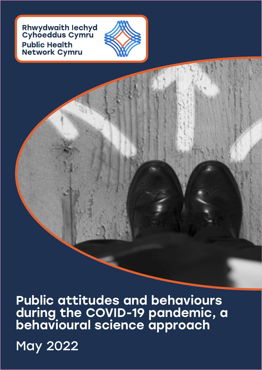Rhwydwaith Iechyd<br>Cyhoeddus Cymru **Public Health Network Cymru** 



Public attitudes and behaviours during the COVID-19 pandemic, a behavioural science approach

May 2022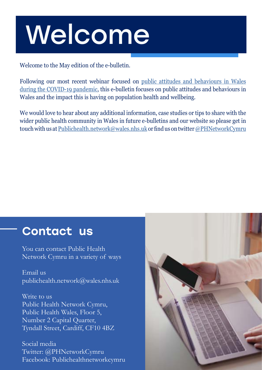# Welcome

Welcome to the May edition of the e-bulletin.

Following our most recent webinar focused on [public attitudes and behaviours in Wales](https://publichealthnetwork.cymru/event/public-attitudes-and-behaviours-during-the-covid-19-pandemic-a-behavioural-science-approach/) [during the COVID-19 pandemic](https://publichealthnetwork.cymru/event/public-attitudes-and-behaviours-during-the-covid-19-pandemic-a-behavioural-science-approach/), this e-bulletin focuses on public attitudes and behaviours in Wales and the impact this is having on population health and wellbeing.

We would love to hear about any additional information, case studies or tips to share with the wider public health community in Wales in future e-bulletins and our website so please get in touch with us at [Publichealth.network@wales.nhs.uk](mailto:Publichealth.network%40wales.nhs.uk?subject=) or find us on twitter [@PHNetworkCymru](https://twitter.com/PHNetworkCymru)

### Contact us

You can contact Public Health Network Cymru in a variety of ways

Email us [publichealth.network@wales.nhs.uk](mailto:publichealth.network%40wales.nhs.uk?subject=)

Write to us Public Health Network Cymru, Public Health Wales, Floor 5, Number 2 Capital Quarter, Tyndall Street, Cardiff, CF10 4BZ

Social media Twitter: @PHNetworkCymru Facebook: Publichealthnetworkcymru

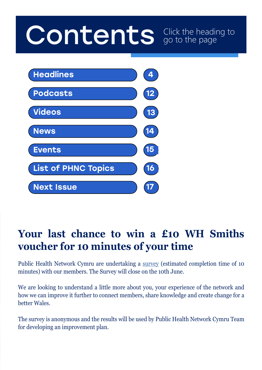# Contents Click the heading to go to the page



### **Your last chance to win a £10 WH Smiths voucher for 10 minutes of your time**

Public Health Network Cymru are undertaking a [survey](https://scanmail.trustwave.com/?c=261&d=ycqf4qryCUW2luvxftzOwGcyvMl7aYN9A3Rf-H1IDA&u=https%3a%2f%2fcymru%2eus18%2elist-manage%2ecom%2ftrack%2fclick%3fu%3dda269d41d94a16edaaad1b7f6%26id%3d7d332cc959%26e%3d8a1cc9a797) (estimated completion time of 10 minutes) with our members. The Survey will close on the 10th June.

We are looking to understand a little more about you, your experience of the network and how we can improve it further to connect members, share knowledge and create change for a better Wales.

The survey is anonymous and the results will be used by Public Health Network Cymru Team for developing an improvement plan.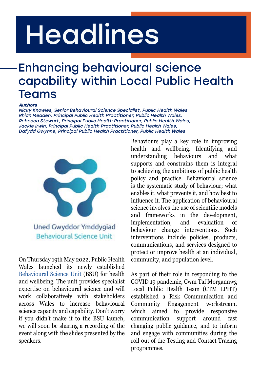# <span id="page-3-0"></span>Headlines

# Enhancing behavioural science capability within Local Public Health Teams

#### Authors

Nicky Knowles, Senior Behavioural Science Specialist, Public Health Wales Rhian Meaden, Principal Public Health Practitioner, Public Health Wales, Rebecca Stewart, Principal Public Health Practitioner, Public Health Wales, Jackie Irwin, Principal Public Health Practitioner, Public Health Wales, Dafydd Gwynne, Principal Public Health Practitioner, Public Health Wales



Uned Gwyddor Ymddygiad Behavioural Science Unit

On Thursday 19th May 2022, Public Health Wales launched its newly established [Behavioural Science Unit](https://phwwhocc.co.uk/teams/behavioural-science-unit/) (BSU) for health and wellbeing. The unit provides specialist expertise on behavioural science and will work collaboratively with stakeholders across Wales to increase behavioural science capacity and capability. Don't worry if you didn't make it to the BSU launch, we will soon be sharing a recording of the event along with the slides presented by the speakers.

Behaviours play a key role in improving health and wellbeing. Identifying and understanding behaviours and what supports and constrains them is integral to achieving the ambitions of public health policy and practice. Behavioural science is the systematic study of behaviour; what enables it, what prevents it, and how best to influence it. The application of behavioural science involves the use of scientific models and frameworks in the development, implementation, and evaluation of behaviour change interventions. Such interventions include policies, products, communications, and services designed to protect or improve health at an individual, community, and population level.

As part of their role in responding to the COVID 19 pandemic, Cwm Taf Morgannwg Local Public Health Team (CTM LPHT) established a Risk Communication and Community Engagement workstream, which aimed to provide responsive communication support around fast changing public guidance, and to inform and engage with communities during the roll out of the Testing and Contact Tracing programmes.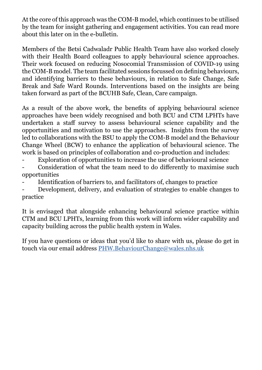At the core of this approach was the COM-B model, which continues to be utilised by the team for insight gathering and engagement activities. You can read more about this later on in the e-bulletin.

Members of the Betsi Cadwaladr Public Health Team have also worked closely with their Health Board colleagues to apply behavioural science approaches. Their work focused on reducing Nosocomial Transmission of COVID-19 using the COM-B model. The team facilitated sessions focussed on defining behaviours, and identifying barriers to these behaviours, in relation to Safe Change, Safe Break and Safe Ward Rounds. Interventions based on the insights are being taken forward as part of the BCUHB Safe, Clean, Care campaign.

As a result of the above work, the benefits of applying behavioural science approaches have been widely recognised and both BCU and CTM LPHTs have undertaken a staff survey to assess behavioural science capability and the opportunities and motivation to use the approaches. Insights from the survey led to collaborations with the BSU to apply the COM-B model and the Behaviour Change Wheel (BCW) to enhance the application of behavioural science. The work is based on principles of collaboration and co-production and includes:

- Exploration of opportunities to increase the use of behavioural science

- Consideration of what the team need to do differently to maximise such opportunities

Identification of barriers to, and facilitators of, changes to practice

- Development, delivery, and evaluation of strategies to enable changes to practice

It is envisaged that alongside enhancing behavioural science practice within CTM and BCU LPHTs, learning from this work will inform wider capability and capacity building across the public health system in Wales.

If you have questions or ideas that you'd like to share with us, please do get in touch via our email address [PHW.BehaviourChange@wales.nhs.uk](mailto:PHW.BehaviourChange%40wales.nhs.uk?subject=)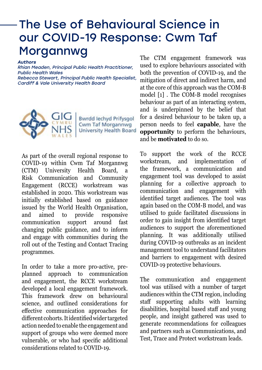## The Use of Behavioural Science in our COVID-19 Response: Cwm Taf Morgannwg

#### Authors

Rhian Meaden, Principal Public Health Practitioner, Public Health Wales Rebecca Stewart, Principal Public Health Specialist, Cardiff & Vale University Health Board



**Bwrdd lechyd Prifysgol** Cwm Taf Morgannwg **University Health Board** 

As part of the overall regional response to COVID-19 within Cwm Taf Morgannwg (CTM) University Health Board, a Risk Communication and Community Engagement (RCCE) workstream was established in 2020. This workstream was initially established based on guidance issued by the World Health Organisation, and aimed to provide responsive communication support around fast changing public guidance, and to inform and engage with communities during the roll out of the Testing and Contact Tracing programmes.

In order to take a more pro-active, preplanned approach to communication and engagement, the RCCE workstream developed a local engagement framework. This framework drew on behavioural science, and outlined considerations for effective communication approaches for different cohorts. It identified wider targeted action needed to enable the engagement and support of groups who were deemed more vulnerable, or who had specific additional considerations related to COVID-19.

The CTM engagement framework was used to explore behaviours associated with both the prevention of COVID-19, and the mitigation of direct and indirect harm, and at the core of this approach was the COM-B model [1] . The COM-B model recognises behaviour as part of an interacting system, and is underpinned by the belief that for a desired behaviour to be taken up, a person needs to feel **capable**, have the **opportunity** to perform the behaviours, and be **motivated** to do so.

To support the work of the RCCE workstream, and implementation of the framework, a communication and engagement tool was developed to assist planning for a collective approach to communication and engagement with identified target audiences. The tool was again based on the COM-B model, and was utilised to guide facilitated discussions in order to gain insight from identified target audiences to support the aforementioned planning. It was additionally utilised during COVID-19 outbreaks as an incident management tool to understand facilitators and barriers to engagement with desired COVID-19 protective behaviours.

The communication and engagement tool was utilised with a number of target audiences within the CTM region, including staff supporting adults with learning disabilities, hospital based staff and young people, and insight gathered was used to generate recommendations for colleagues and partners such as Communications, and Test, Trace and Protect workstream leads.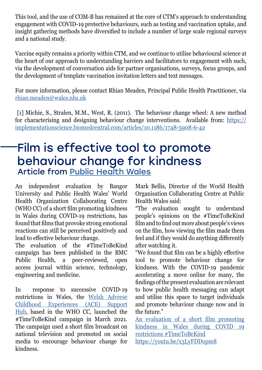This tool, and the use of COM-B has remained at the core of CTM's approach to understanding engagement with COVID-19 protective behaviours, such as testing and vaccination uptake, and insight gathering methods have diversified to include a number of large scale regional surveys and a national study.

Vaccine equity remains a priority within CTM, and we continue to utilise behavioural science at the heart of our approach to understanding barriers and facilitators to engagement with such, via the development of conversation aids for partner organisations, surveys, focus groups, and the development of template vaccination invitation letters and text messages.

For more information, please contact Rhian Meaden, Principal Public Health Practitioner, via [rhian.meaden@wales.nhs.uk](mailto:rhian.meaden%40wales.nhs.uk?subject=)

 [1] Michie, S., Stralen, M.M., West, R. (2011). The behaviour change wheel: A new method for characterising and designing behaviour change interventions. Available from: [https://](https://implementationscience.biomedcentral.com/articles/10.1186/1748-5908-6-42) [implementationscience.biomedcentral.com/articles/10.1186/1748-5908-6-42](https://implementationscience.biomedcentral.com/articles/10.1186/1748-5908-6-42)

### Film is effective tool to promote behaviour change for kindness Article from [Public Health Wales](https://phw.nhs.wales/news/film-is-effective-tool-to-promote-behaviour-change-for-kindness/)

An independent evaluation by Bangor University and Public Health Wales' World Health Organization Collaborating Centre (WHO CC) of a short film promoting kindness in Wales during COVID-19 restrictions, has found that films that provoke strong emotional reactions can still be perceived positively and lead to effective behaviour change.

The evaluation of the #TimeToBeKind campaign has been published in the BMC Public Health, a peer-reviewed, open access journal within science, technology, engineering and medicine.

In response to successive COVID-19 restrictions in Wales, the [Welsh Adverse](https://aceawarewales.com/time-to-be-kind/) [Childhood Experiences \(ACE\) Support](https://aceawarewales.com/time-to-be-kind/) [Hub](https://aceawarewales.com/time-to-be-kind/), based in the WHO CC, launched the #TimeToBeKind campaign in March 2021. The campaign used a short film broadcast on national television and promoted on social media to encourage behaviour change for kindness.

Mark Bellis, Director of the World Health Organisation Collaborating Centre at Public Health Wales said:

"The evaluation sought to understand people's opinions on the #TimeToBeKind film and to find out more about people's views on the film, how viewing the film made them feel and if they would do anything differently after watching it.

"We found that film can be a highly effective tool to promote behaviour change for kindness. With the COVID-19 pandemic accelerating a move online for many, the findings of the present evaluation are relevant to how public health messaging can adapt and utilise this space to target individuals and promote behaviour change now and in the future."

[An evaluation of a short film promoting](https://link.springer.com/epdf/10.1186/s12889-022-12876-9?sharing_token=xZQD8sdb-GgNzwRTXsDl_G_BpE1tBhCbnbw3BuzI2ROJ8lkWOjHRPUnAd5nqJ0OVXQSUFeRUfobyYs7tsQemj0-piHmQCe5SbRJxP1_mAlARoE78cHBmLNYxVrwym62rdy-1w0dIdEgHr4IyUw1SuBCJxq9Tnyh0elNEwob-HYg%3D) [kindness in Wales during COVID 19](https://link.springer.com/epdf/10.1186/s12889-022-12876-9?sharing_token=xZQD8sdb-GgNzwRTXsDl_G_BpE1tBhCbnbw3BuzI2ROJ8lkWOjHRPUnAd5nqJ0OVXQSUFeRUfobyYs7tsQemj0-piHmQCe5SbRJxP1_mAlARoE78cHBmLNYxVrwym62rdy-1w0dIdEgHr4IyUw1SuBCJxq9Tnyh0elNEwob-HYg%3D) [restrictions #TimeToBeKind](https://link.springer.com/epdf/10.1186/s12889-022-12876-9?sharing_token=xZQD8sdb-GgNzwRTXsDl_G_BpE1tBhCbnbw3BuzI2ROJ8lkWOjHRPUnAd5nqJ0OVXQSUFeRUfobyYs7tsQemj0-piHmQCe5SbRJxP1_mAlARoE78cHBmLNYxVrwym62rdy-1w0dIdEgHr4IyUw1SuBCJxq9Tnyh0elNEwob-HYg%3D) <https://youtu.be/x3LyFDDopm8>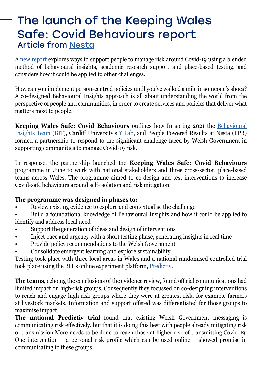### The launch of the Keeping Wales Safe: Covid Behaviours report Article from [Nesta](https://peoplepoweredresults.org.uk/blog/make-it-real/the-launch-of-the-keeping-wales-safe-covid-behaviours-report-lansio-adroddiad-diogelu-cymru-ymddygiadau-covid/)

A [new report](https://peoplepoweredresults.org.uk/wp-content/uploads/2022/05/KWS_CB-report-FINAL-3.pdf) explores ways to support people to manage risk around Covid-19 using a blended method of behavioural insights, academic research support and place-based testing, and considers how it could be applied to other challenges.

How can you implement person-centred policies until you've walked a mile in someone's shoes? A co-designed Behavioural Insights approach is all about understanding the world from the perspective of people and communities, in order to create services and policies that deliver what matters most to people.

**Keeping Wales Safe: Covid Behaviours** outlines how In spring 2021 the [Behavioural](https://www.bi.team/) [Insights Team \(BIT\)](https://www.bi.team/), Cardiff University's [Y Lab](https://ylab.wales/), and People Powered Results at Nesta (PPR) formed a partnership to respond to the significant challenge faced by Welsh Government in supporting communities to manage Covid-19 risk.

In response, the partnership launched the **Keeping Wales Safe: Covid Behaviours** programme in June to work with national stakeholders and three cross-sector, place-based teams across Wales. The programme aimed to co-design and test interventions to increase Covid-safe behaviours around self-isolation and risk mitigation.

### **The programme was designed in phases to:**

• Review existing evidence to explore and contextualise the challenge

• Build a foundational knowledge of Behavioural Insights and how it could be applied to identify and address local need

- Support the generation of ideas and design of interventions
- Inject pace and urgency with a short testing phase, generating insights in real time
- Provide policy recommendations to the Welsh Government
- Consolidate emergent learning and explore sustainability

Testing took place with three local areas in Wales and a national randomised controlled trial took place using the BIT's online experiment platform, [Predictiv.](https://www.bi.team/bi-ventures/predictiv/)

**The teams**, echoing the conclusions of the evidence review, found official communications had limited impact on high-risk groups. Consequently they focussed on co-designing interventions to reach and engage high-risk groups where they were at greatest risk, for example farmers at livestock markets. Information and support offered was differentiated for those groups to maximise impact.

**The national Predictiv trial** found that existing Welsh Government messaging is communicating risk effectively, but that it is doing this best with people already mitigating risk of transmission.More needs to be done to reach those at higher risk of transmitting Covid-19. One intervention – a personal risk profile which can be used online – showed promise in communicating to these groups.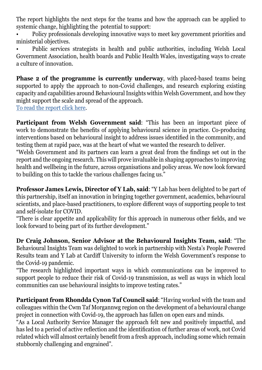The report highlights the next steps for the teams and how the approach can be applied to systemic change, highlighting the potential to support:

• Policy professionals developing innovative ways to meet key government priorities and ministerial objectives.

• Public services strategists in health and public authorities, including Welsh Local Government Association, health boards and Public Health Wales, investigating ways to create a culture of innovation.

**Phase 2 of the programme is currently underway**, with placed-based teams being supported to apply the approach to non-Covid challenges, and research exploring existing capacity and capabilities around Behavioural Insights within Welsh Government, and how they might support the scale and spread of the approach.

[To read the report click here](https://peoplepoweredresults.org.uk/wp-content/uploads/2022/05/KWS_CB-report-FINAL-3.pdf).

**Participant from Welsh Government said**: "This has been an important piece of work to demonstrate the benefits of applying behavioural science in practice. Co-producing interventions based on behavioural insight to address issues identified in the community, and testing them at rapid pace, was at the heart of what we wanted the research to deliver.

"Welsh Government and its partners can learn a great deal from the findings set out in the report and the ongoing research. This will prove invaluable in shaping approaches to improving health and wellbeing in the future, across organisations and policy areas. We now look forward to building on this to tackle the various challenges facing us."

**Professor James Lewis, Director of Y Lab, said**: "Y Lab has been delighted to be part of this partnership, itself an innovation in bringing together government, academics, behavioural scientists, and place-based practitioners, to explore different ways of supporting people to test and self-isolate for COVID.

"There is clear appetite and applicability for this approach in numerous other fields, and we look forward to being part of its further development."

**Dr Craig Johnson, Senior Advisor at the Behavioural Insights Team, said**: "The Behavioural Insights Team was delighted to work in partnership with Nesta's People Powered Results team and Y Lab at Cardiff University to inform the Welsh Government's response to the Covid-19 pandemic.

"The research highlighted important ways in which communications can be improved to support people to reduce their risk of Covid-19 transmission, as well as ways in which local communities can use behavioural insights to improve testing rates."

**Participant from Rhondda Cynon Taf Council said**: "Having worked with the team and colleagues within the Cwm Taf Morgannwg region on the development of a behavioural change project in connection with Covid-19, the approach has fallen on open ears and minds.

"As a Local Authority Service Manager the approach felt new and positively impactful, and has led to a period of active reflection and the identification of further areas of work, not Covid related which will almost certainly benefit from a fresh approach, including some which remain stubbornly challenging and engrained".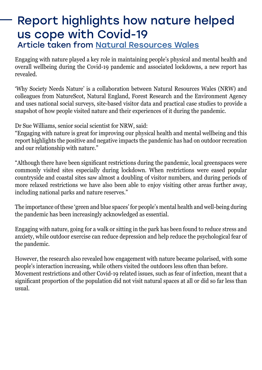### Report highlights how nature helped us cope with Covid-19 Article taken from [Natural Resources Wales](https://naturalresources.wales/about-us/news-and-events/news/report-highlights-how-nature-helped-us-cope-with-covid-19/?lang=en)

Engaging with nature played a key role in maintaining people's physical and mental health and overall wellbeing during the Covid-19 pandemic and associated lockdowns, a new report has revealed.

'Why Society Needs Nature' is a collaboration between Natural Resources Wales (NRW) and colleagues from NatureScot, Natural England, Forest Research and the Environment Agency and uses national social surveys, site-based visitor data and practical case studies to provide a snapshot of how people visited nature and their experiences of it during the pandemic.

Dr Sue Williams, senior social scientist for NRW, said:

"Engaging with nature is great for improving our physical health and mental wellbeing and this report highlights the positive and negative impacts the pandemic has had on outdoor recreation and our relationship with nature."

"Although there have been significant restrictions during the pandemic, local greenspaces were commonly visited sites especially during lockdown. When restrictions were eased popular countryside and coastal sites saw almost a doubling of visitor numbers, and during periods of more relaxed restrictions we have also been able to enjoy visiting other areas further away, including national parks and nature reserves."

The importance of these 'green and blue spaces' for people's mental health and well-being during the pandemic has been increasingly acknowledged as essential.

Engaging with nature, going for a walk or sitting in the park has been found to reduce stress and anxiety, while outdoor exercise can reduce depression and help reduce the psychological fear of the pandemic.

However, the research also revealed how engagement with nature became polarised, with some people's interaction increasing, while others visited the outdoors less often than before. Movement restrictions and other Covid-19 related issues, such as fear of infection, meant that a significant proportion of the population did not visit natural spaces at all or did so far less than usual.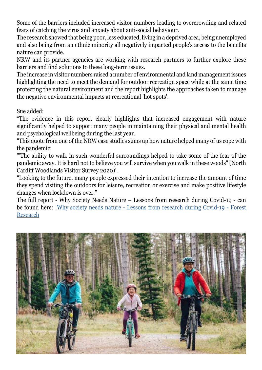Some of the barriers included increased visitor numbers leading to overcrowding and related fears of catching the virus and anxiety about anti-social behaviour.

The research showed that being poor, less educated, living in a deprived area, being unemployed and also being from an ethnic minority all negatively impacted people's access to the benefits nature can provide.

NRW and its partner agencies are working with research partners to further explore these barriers and find solutions to these long-term issues.

The increase in visitor numbers raised a number of environmental and land management issues highlighting the need to meet the demand for outdoor recreation space while at the same time protecting the natural environment and the report highlights the approaches taken to manage the negative environmental impacts at recreational 'hot spots'.

Sue added:

"The evidence in this report clearly highlights that increased engagement with nature significantly helped to support many people in maintaining their physical and mental health and psychological wellbeing during the last year.

"This quote from one of the NRW case studies sums up how nature helped many of us cope with the pandemic:

"'The ability to walk in such wonderful surroundings helped to take some of the fear of the pandemic away. It is hard not to believe you will survive when you walk in these woods" (North Cardiff Woodlands Visitor Survey 2020)'.

"Looking to the future, many people expressed their intention to increase the amount of time they spend visiting the outdoors for leisure, recreation or exercise and make positive lifestyle changes when lockdown is over."

The full report - Why Society Needs Nature – Lessons from research during Covid-19 - can be found here: [Why society needs nature - Lessons from research during Covid-19 - Forest](https://www.forestresearch.gov.uk/research/why-society-needs-nature-lessons-from-research-during-covid-19/) [Research](https://www.forestresearch.gov.uk/research/why-society-needs-nature-lessons-from-research-during-covid-19/)

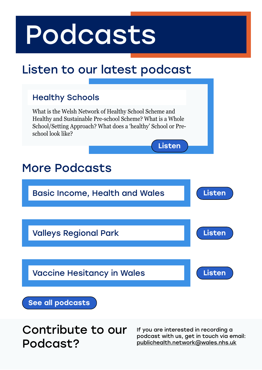# <span id="page-11-0"></span>Podcasts

# Listen to our latest podcast

### Healthy Schools

What is the Welsh Network of Healthy School Scheme and Healthy and Sustainable Pre-school Scheme? What is a Whole School/Setting Approach? What does a 'healthy' School or Preschool look like?

## More Podcasts



[Listen](https://publichealthnetwork.cymru/podcast/healthy-schools-rachel-dicker-public-health-network-cymru/)

[See all podcasts](https://publichealthnetwork.cymru/podcasts/)

Contribute to our Podcast?

If you are interested in recording a podcast with us, get in touch via email: [publichealth.network@wales.nhs.uk](mailto:publichealth.network@wales.nhs.uk)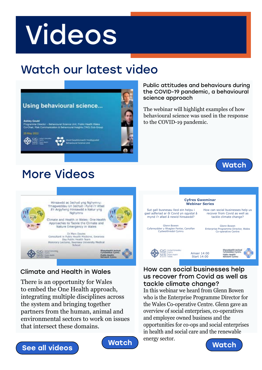# <span id="page-12-0"></span>Videos

# Watch our latest video



Public attitudes and behaviours during the COVID-19 pandemic, a behavioural science approach

The webinar will highlight examples of how behavioural science was used in the response to the COVID-19 pandemic.

### More Videos





### Climate and Health in Wales

There is an opportunity for Wales to embed the One Health approach, integrating multiple disciplines across the system and bringing together partners from the human, animal and environmental sectors to work on issues that intersect these domains.







#### How can social businesses help us recover from Covid as well as tackle climate change?

In this webinar we heard from Glenn Bowen who is the Enterprise Programme Director for the Wales Co-operative Centre. Glenn gave an overview of social enterprises, co-operatives and employee owned business and the opportunities for co-ops and social enterprises in health and social care and the renewable energy sector.

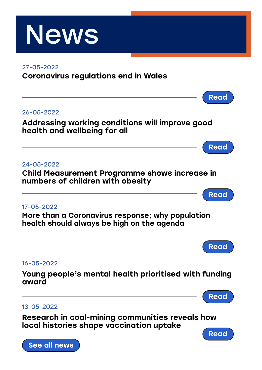<span id="page-13-0"></span>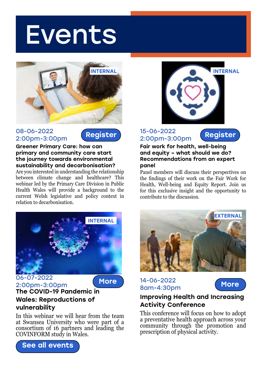# <span id="page-14-0"></span>Events



#### 08-06-2022 2:00pm-3:00pm



Greener Primary Care: how can primary and community care start the journey towards environmental sustainability and decarbonisation?

Are you interested in understanding the relationship between climate change and healthcare? This webinar led by the Primary Care Division in Public Health Wales will provide a background to the current Welsh legislative and policy context in relation to decarbonisation.



#### 15-06-2022 2:00pm-3:00pm

[Register](https://publichealthnetwork.cymru/event/fair-work-for-health-well-being-and-equity-what-should-we-do-recommendations-from-an-expert-panel/)

Fair work for health, well-being and equity – what should we do? Recommendations from an expert panel

Panel members will discuss their perspectives on the findings of their work on the Fair Work for Health, Well-being and Equity Report. Join us for this exclusive insight and the opportunity to contribute to the discussion.



06-07-2022 2:00pm-3:00pm



### The COVID-19 Pandemic in Wales: Reproductions of vulnerability

In this webinar we will hear from the team at Swansea University who were part of a consortium of 16 partners and leading the COVINFORM study in Wales.





[More](https://publichealthnetwork.cymru/event/improving-health-and-increasing-activity-conference/) 14-06-2022 More 8am-4:30pm



### Improving Health and Increasing Activity Conference

This conference will focus on how to adopt a preventative health approach across your community through the promotion and prescription of physical activity.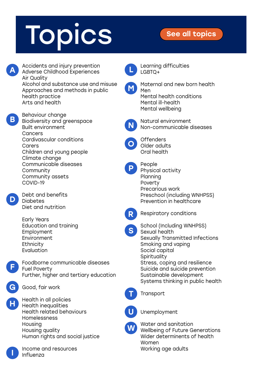# <span id="page-15-0"></span>Topics [See all topics](https://publichealthnetwork.cymru/topics/)

A

B

D

F

G

H

I

Accidents and injury prevention Adverse Childhood Experiences Air Quality Alcohol and substance use and misuse Approaches and methods in public health practice Arts and health Behaviour change Biodiversity and greenspace Built environment **Cancers** Cardivascular conditions Carers Children and young people Climate change Communicable diseases **Community** Community assets COVID-19 Debt and benefits **Diabetes** Diet and nutrition Early Years Education and training Employment Environment **Ethnicity** Evaluation Foodborne communicable diseases Fuel Poverty Further, higher and tertiary education Good, fair work Health in all policies Health inequalities Health related behaviours Homelessness Housing Housing quality Human rights and social justice Income and resources Influenza Learning difficulties LGBTQ+ Maternal and new born health Men Mental health conditions Mental ill-health Mental wellbeing Natural environment Non-communicable diseases **Offenders** Older adults Oral health People Physical activity Planning Poverty Precarious work Preschool (including WNHPSS) Prevention in healthcare Respiratory conditions School (Including WNHPSS) Sexual health Sexually Transmitted Infections Smoking and vaping Social capital **Spirituality** Stress, coping and resilience Suicide and suicide prevention Sustainable development Systems thinking in public health **Transport** Unemployment Water and sanitation Wellbeing of Future Generations Wider determinents of health Women Working age adults L M N O P R S T U W